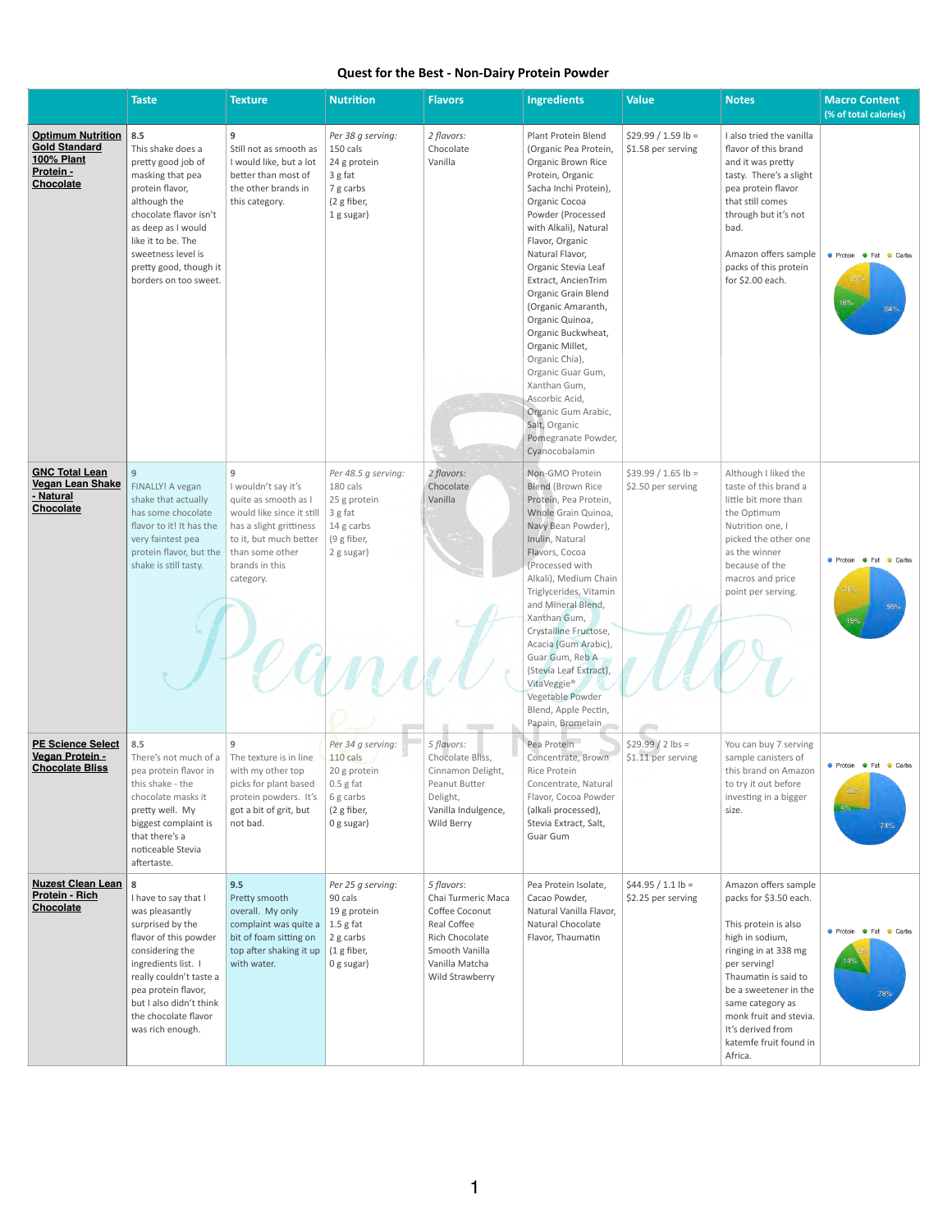## **Quest for the Best - Non-Dairy Protein Powder**

|                                                                                                        | <b>Taste</b>                                                                                                                                                                                                                                                | <b>Texture</b>                                                                                                                                                                                          | <b>Nutrition</b>                                                                                                | <b>Flavors</b>                                                                                                                             | <b>Ingredients</b>                                                                                                                                                                                                                                                                                                                                                                                                                                                                                                                    | <b>Value</b>                               | <b>Notes</b>                                                                                                                                                                                                                                                                               | <b>Macro Content</b><br>(% of total calories)                      |
|--------------------------------------------------------------------------------------------------------|-------------------------------------------------------------------------------------------------------------------------------------------------------------------------------------------------------------------------------------------------------------|---------------------------------------------------------------------------------------------------------------------------------------------------------------------------------------------------------|-----------------------------------------------------------------------------------------------------------------|--------------------------------------------------------------------------------------------------------------------------------------------|---------------------------------------------------------------------------------------------------------------------------------------------------------------------------------------------------------------------------------------------------------------------------------------------------------------------------------------------------------------------------------------------------------------------------------------------------------------------------------------------------------------------------------------|--------------------------------------------|--------------------------------------------------------------------------------------------------------------------------------------------------------------------------------------------------------------------------------------------------------------------------------------------|--------------------------------------------------------------------|
| <b>Optimum Nutrition</b><br><b>Gold Standard</b><br><b>100% Plant</b><br>Protein -<br><b>Chocolate</b> | 8.5<br>This shake does a<br>pretty good job of<br>masking that pea<br>protein flavor,<br>although the<br>chocolate flavor isn't<br>as deep as I would<br>like it to be. The<br>sweetness level is<br>pretty good, though it<br>borders on too sweet.        | 9<br>Still not as smooth as<br>I would like, but a lot<br>better than most of<br>the other brands in<br>this category.                                                                                  | Per 38 g serving:<br>150 cals<br>24 g protein<br>3 g fat<br>7 g carbs<br>(2 g fiber,<br>1 g sugar)              | 2 flavors:<br>Chocolate<br>Vanilla                                                                                                         | Plant Protein Blend<br>(Organic Pea Protein,<br>Organic Brown Rice<br>Protein, Organic<br>Sacha Inchi Protein),<br>Organic Cocoa<br>Powder (Processed<br>with Alkali), Natural<br>Flavor, Organic<br>Natural Flavor,<br>Organic Stevia Leaf<br>Extract, AncienTrim<br>Organic Grain Blend<br>(Organic Amaranth,<br>Organic Quinoa,<br>Organic Buckwheat,<br>Organic Millet,<br>Organic Chia),<br>Organic Guar Gum,<br>Xanthan Gum,<br>Ascorbic Acid,<br>Organic Gum Arabic,<br>Salt, Organic<br>Pomegranate Powder,<br>Cyanocobalamin | $$29.99 / 1.59 lb =$<br>\$1.58 per serving | I also tried the vanilla<br>flavor of this brand<br>and it was pretty<br>tasty. There's a slight<br>pea protein flavor<br>that still comes<br>through but it's not<br>bad.<br>Amazon offers sample<br>packs of this protein<br>for \$2.00 each.                                            | ● Protein ● Fat ● Carbs<br>$18\%$<br>64%                           |
| <b>GNC Total Lean</b><br><b>Vegan Lean Shake</b><br>- Natural<br><b>Chocolate</b>                      | 9 <sup>°</sup><br>FINALLY! A vegan<br>shake that actually<br>has some chocolate<br>flavor to it! It has the<br>very faintest pea<br>protein flavor, but the<br>shake is still tasty.                                                                        | 9<br>I wouldn't say it's<br>quite as smooth as I<br>would like since it still<br>has a slight grittiness<br>to it, but much better $\mid$ (9 g fiber,<br>than some other<br>brands in this<br>category. | Per 48.5 g serving:<br>180 cals<br>25 g protein<br>3 g fat<br>14 g carbs<br>2 g sugar)                          | 2 flavors:<br>Chocolate<br>Vanilla                                                                                                         | Non-GMO Protein<br><b>Blend (Brown Rice</b><br>Protein, Pea Protein,<br>Whole Grain Quinoa,<br>Navy Bean Powder),<br>Inulin, Natural<br>Flavors, Cocoa<br>(Processed with<br>Alkali), Medium Chain<br>Triglycerides, Vitamin<br>and Mineral Blend,<br>Xanthan Gum,<br>Crystalline Fructose,<br>Acacia (Gum Arabic),<br>Guar Gum, Reb A<br>(Stevia Leaf Extract),<br>VitaVeggie®<br>Vegetable Powder<br>Blend, Apple Pectin,<br>Papain, Bromelain                                                                                      | $$39.99 / 1.65 lb =$<br>\$2.50 per serving | Although I liked the<br>taste of this brand a<br>little bit more than<br>the Optimum<br>Nutrition one, I<br>picked the other one<br>as the winner<br>because of the<br>macros and price<br>point per serving.                                                                              | <b>Contact Protein Go Fat</b><br>Carbs<br>31%<br><b>55%</b><br>15% |
| <b>PE Science Select</b><br>Vegan Protein -<br><b>Chocolate Bliss</b>                                  | 8.5<br>There's not much of a<br>pea protein flavor in<br>this shake - the<br>chocolate masks it<br>pretty well. My<br>biggest complaint is<br>that there's a<br>noticeable Stevia<br>aftertaste.                                                            | 9<br>The texture is in line<br>with my other top<br>picks for plant based<br>protein powders. It's<br>got a bit of grit, but<br>not bad.                                                                | Per 34 g serving:<br>110 cals<br>20 g protein<br>$0.5$ g fat<br>6 g carbs<br>(2 g fiber,<br>$0$ g sugar)        | 5 flavors:<br>Chocolate Bliss,<br>Cinnamon Delight,<br>Peanut Butter<br>Delight,<br>Vanilla Indulgence,<br>Wild Berry                      | Pea Protein<br>Concentrate, Brown<br>Rice Protein<br>Concentrate, Natural<br>Flavor, Cocoa Powder<br>(alkali processed),<br>Stevia Extract, Salt,<br><b>Guar Gum</b>                                                                                                                                                                                                                                                                                                                                                                  | $$29.99 / 2$ lbs =<br>\$1.11 per serving   | You can buy 7 serving<br>sample canisters of<br>this brand on Amazon<br>to try it out before<br>investing in a bigger<br>size.                                                                                                                                                             | ● Protein ● Fat<br>Carbs<br>22%<br>4%<br>74%                       |
| <b>Nuzest Clean Lean</b><br><b>Protein - Rich</b><br><b>Chocolate</b>                                  | 8<br>I have to say that I<br>was pleasantly<br>surprised by the<br>flavor of this powder<br>considering the<br>ingredients list. I<br>really couldn't taste a<br>pea protein flavor,<br>but I also didn't think<br>the chocolate flavor<br>was rich enough. | 9.5<br>Pretty smooth<br>overall. My only<br>complaint was quite a<br>bit of foam sitting on<br>top after shaking it up<br>with water.                                                                   | Per 25 g serving:<br>90 cals<br>19 g protein<br>$\vert$ 1.5 g fat<br>2 g carbs<br>$(1$ g fiber,<br>$0$ g sugar) | 5 flavors:<br>Chai Turmeric Maca<br>Coffee Coconut<br>Real Coffee<br>Rich Chocolate<br>Smooth Vanilla<br>Vanilla Matcha<br>Wild Strawberry | Pea Protein Isolate,<br>Cacao Powder,<br>Natural Vanilla Flavor,<br>Natural Chocolate<br>Flavor, Thaumatin                                                                                                                                                                                                                                                                                                                                                                                                                            | $$44.95 / 1.1 lb =$<br>\$2.25 per serving  | Amazon offers sample<br>packs for \$3.50 each.<br>This protein is also<br>high in sodium,<br>ringing in at 338 mg<br>per serving!<br>Thaumatin is said to<br>be a sweetener in the<br>same category as<br>monk fruit and stevia.<br>It's derived from<br>katemfe fruit found in<br>Africa. | ● Protein ● Fat ● Carbs<br>78°                                     |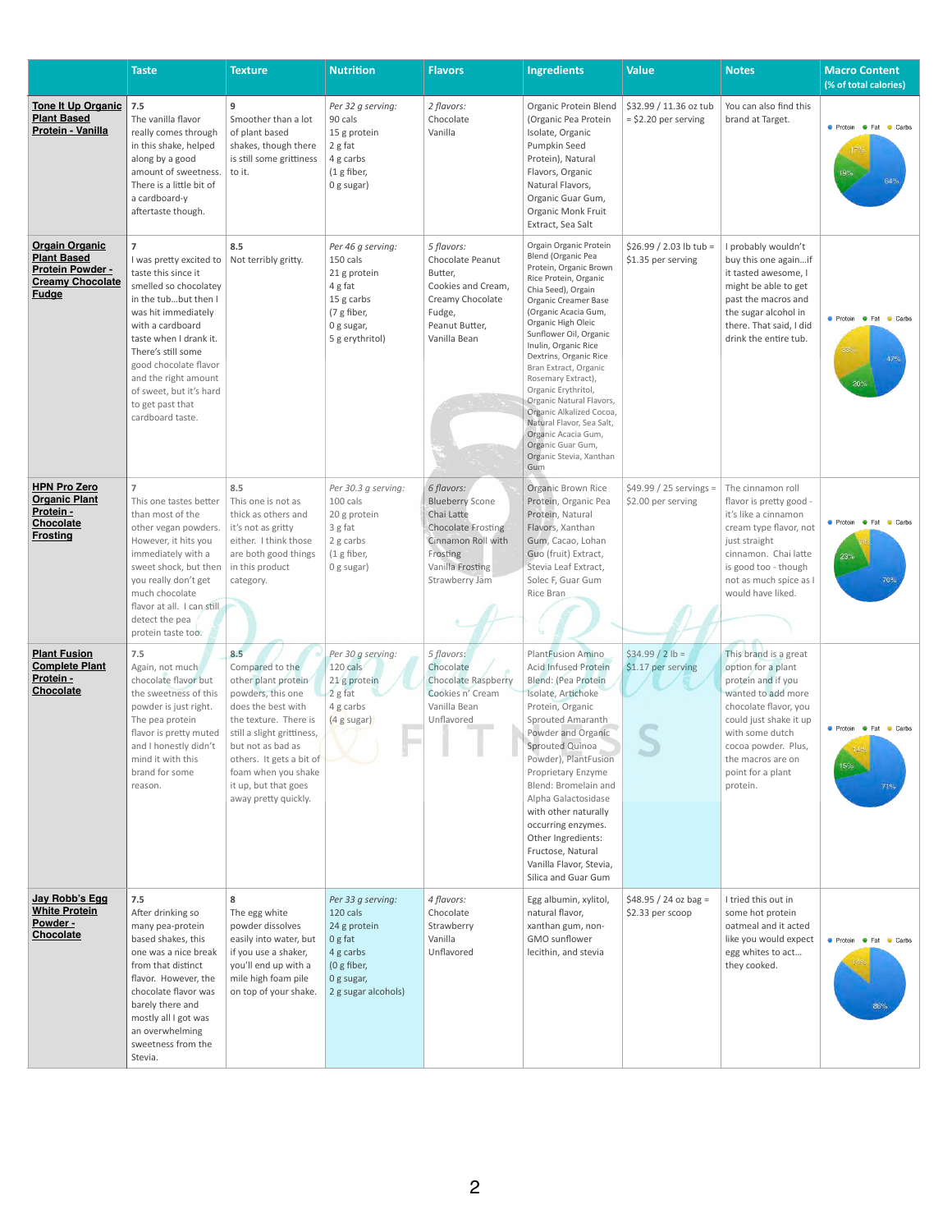|                                                                                                                   | <b>Taste</b>                                                                                                                                                                                                                                                                                                                     | <b>Texture</b>                                                                                                                                                                                                                                                          | <b>Nutrition</b>                                                                                                           | <b>Flavors</b>                                                                                                                                          | <b>Ingredients</b>                                                                                                                                                                                                                                                                                                                                                                                                                                                                                               | <b>Value</b>                                     | <b>Notes</b>                                                                                                                                                                                                                               | <b>Macro Content</b><br>(% of total calories)     |
|-------------------------------------------------------------------------------------------------------------------|----------------------------------------------------------------------------------------------------------------------------------------------------------------------------------------------------------------------------------------------------------------------------------------------------------------------------------|-------------------------------------------------------------------------------------------------------------------------------------------------------------------------------------------------------------------------------------------------------------------------|----------------------------------------------------------------------------------------------------------------------------|---------------------------------------------------------------------------------------------------------------------------------------------------------|------------------------------------------------------------------------------------------------------------------------------------------------------------------------------------------------------------------------------------------------------------------------------------------------------------------------------------------------------------------------------------------------------------------------------------------------------------------------------------------------------------------|--------------------------------------------------|--------------------------------------------------------------------------------------------------------------------------------------------------------------------------------------------------------------------------------------------|---------------------------------------------------|
| <b>Tone It Up Organic</b><br><b>Plant Based</b><br>Protein - Vanilla                                              | $7.5$<br>The vanilla flavor<br>really comes through<br>in this shake, helped<br>along by a good<br>amount of sweetness.<br>There is a little bit of<br>a cardboard-y<br>aftertaste though.                                                                                                                                       | 9<br>Smoother than a lot<br>of plant based<br>shakes, though there<br>is still some grittiness<br>to it.                                                                                                                                                                | Per 32 g serving:<br>90 cals<br>15 g protein<br>2 g fat<br>4 g carbs<br>(1 g fiber,<br>0 g sugar)                          | 2 flavors:<br>Chocolate<br>Vanilla                                                                                                                      | Organic Protein Blend<br>(Organic Pea Protein<br>Isolate, Organic<br>Pumpkin Seed<br>Protein), Natural<br>Flavors, Organic<br>Natural Flavors,<br>Organic Guar Gum,<br>Organic Monk Fruit<br>Extract, Sea Salt                                                                                                                                                                                                                                                                                                   | \$32.99 / 11.36 oz tub<br>$=$ \$2.20 per serving | You can also find this<br>brand at Target.                                                                                                                                                                                                 | <b>O</b> Protein <b>O</b> Fat Carbs<br>19%<br>64% |
| <b>Orgain Organic</b><br><b>Plant Based</b><br><b>Protein Powder -</b><br><b>Creamy Chocolate</b><br><b>Fudge</b> | $\overline{7}$<br>I was pretty excited to<br>taste this since it<br>smelled so chocolatev<br>in the tubbut then I<br>was hit immediately<br>with a cardboard<br>taste when I drank it.<br>There's still some<br>good chocolate flavor<br>and the right amount<br>of sweet, but it's hard<br>to get past that<br>cardboard taste. | 8.5<br>Not terribly gritty.                                                                                                                                                                                                                                             | Per 46 g serving:<br>150 cals<br>21 g protein<br>4 g fat<br>15 g carbs<br>(7 g fiber,<br>0 g sugar,<br>5 g erythritol)     | 5 flavors:<br><b>Chocolate Peanut</b><br>Butter,<br>Cookies and Cream,<br>Creamy Chocolate<br>Fudge,<br>Peanut Butter,<br>Vanilla Bean                  | Orgain Organic Protein<br>Blend (Organic Pea<br>Protein, Organic Brown<br>Rice Protein, Organic<br>Chia Seed), Orgain<br>Organic Creamer Base<br>(Organic Acacia Gum,<br>Organic High Oleic<br>Sunflower Oil, Organic<br>Inulin, Organic Rice<br>Dextrins, Organic Rice<br>Bran Extract, Organic<br>Rosemary Extract),<br>Organic Erythritol,<br>Organic Natural Flavors,<br>Organic Alkalized Cocoa,<br>Natural Flavor, Sea Salt,<br>Organic Acacia Gum,<br>Organic Guar Gum,<br>Organic Stevia, Xanthan<br>Gum | $$26.99 / 2.03$ lb tub =<br>\$1.35 per serving   | I probably wouldn't<br>buy this one againif<br>it tasted awesome, I<br>might be able to get<br>past the macros and<br>the sugar alcohol in<br>there. That said, I did<br>drink the entire tub.                                             | ● Protein ● Fat<br>Carbs<br>38%<br>47%<br>20%     |
| <b>HPN Pro Zero</b><br><b>Organic Plant</b><br>Protein -<br><b>Chocolate</b><br><b>Frosting</b>                   | $\overline{7}$<br>This one tastes better<br>than most of the<br>other vegan powders.<br>However, it hits you<br>immediately with a<br>sweet shock, but then<br>you really don't get<br>much chocolate<br>flavor at all. I can still<br>detect the pea<br>protein taste too.                                                      | 8.5<br>This one is not as<br>thick as others and<br>it's not as gritty<br>either. I think those<br>are both good things<br>in this product<br>category.                                                                                                                 | Per 30.3 g serving:<br>100 cals<br>20 g protein<br>3 g fat<br>2 g carbs<br>(1 g fiber,<br>0 g sugar)                       | 6 flavors:<br><b>Blueberry Scone</b><br>Chai Latte<br><b>Chocolate Frosting</b><br>Cinnamon Roll with<br>Frosting<br>Vanilla Frosting<br>Strawberry Jam | <b>Organic Brown Rice</b><br>Protein, Organic Pea<br>Protein, Natural<br>Flavors, Xanthan<br>Gum, Cacao, Lohan<br>Guo (fruit) Extract,<br>Stevia Leaf Extract,<br>Solec F, Guar Gum<br>Rice Bran                                                                                                                                                                                                                                                                                                                 | $$49.99 / 25$ servings =<br>\$2.00 per serving   | The cinnamon roll<br>flavor is pretty good -<br>it's like a cinnamon<br>cream type flavor, not<br>just straight<br>cinnamon. Chai latte<br>is good too - though<br>not as much spice as I<br>would have liked.                             | ● Protein ● Fat ● Carbs<br>23%<br>70%             |
| <b>Plant Fusion</b><br><b>Complete Plant</b><br>Protein -<br><b>Chocolate</b>                                     | 7.5<br>Again, not much<br>chocolate flavor but<br>the sweetness of this<br>powder is just right.<br>The pea protein<br>flavor is pretty muted<br>and I honestly didn't<br>mind it with this<br>brand for some<br>reason.                                                                                                         | 8.5<br>Compared to the<br>other plant protein<br>powders, this one<br>does the best with<br>the texture. There is<br>still a slight grittiness,<br>but not as bad as<br>others. It gets a bit of<br>foam when you shake<br>it up, but that goes<br>away pretty quickly. | Per 30 g serving:<br>120 cals<br>21 g protein<br>2 g fat<br>4 g carbs<br>(4 g sugar)                                       | 5 flavors:<br>Chocolate<br><b>Chocolate Raspberry</b><br>Cookies n' Cream<br>Vanilla Bean<br>Unflavored                                                 | <b>PlantFusion Amino</b><br><b>Acid Infused Protein</b><br>Blend: (Pea Protein<br>Isolate, Artichoke<br>Protein, Organic<br>Sprouted Amaranth<br>Powder and Organic<br>Sprouted Quinoa<br>Powder), PlantFusion<br>Proprietary Enzyme<br>Blend: Bromelain and<br>Alpha Galactosidase<br>with other naturally<br>occurring enzymes.<br>Other Ingredients:<br>Fructose, Natural<br>Vanilla Flavor, Stevia,<br>Silica and Guar Gum                                                                                   | $$34.99 / 2 lb =$<br>\$1.17 per serving          | This brand is a great<br>option for a plant<br>protein and if you<br>wanted to add more<br>chocolate flavor, you<br>could just shake it up<br>with some dutch<br>cocoa powder. Plus,<br>the macros are on<br>point for a plant<br>protein. | ● Protein ● Fat ● Carbs<br>15%<br>71%             |
| Jay Robb's Egg<br><b>White Protein</b><br>Powder -<br><b>Chocolate</b>                                            | 7.5<br>After drinking so<br>many pea-protein<br>based shakes, this<br>one was a nice break<br>from that distinct<br>flavor. However, the<br>chocolate flavor was<br>barely there and<br>mostly all I got was<br>an overwhelming<br>sweetness from the<br>Stevia.                                                                 | 8<br>The egg white<br>powder dissolves<br>easily into water, but<br>if you use a shaker,<br>you'll end up with a<br>mile high foam pile<br>on top of your shake.                                                                                                        | Per 33 g serving:<br>120 cals<br>24 g protein<br>0g fat<br>4 g carbs<br>(0 $g$ fiber,<br>0 g sugar,<br>2 g sugar alcohols) | 4 flavors:<br>Chocolate<br>Strawberry<br>Vanilla<br>Unflavored                                                                                          | Egg albumin, xylitol,<br>natural flavor,<br>xanthan gum, non-<br>GMO sunflower<br>lecithin, and stevia                                                                                                                                                                                                                                                                                                                                                                                                           | $$48.95 / 24$ oz bag =<br>\$2.33 per scoop       | I tried this out in<br>some hot protein<br>oatmeal and it acted<br>like you would expect<br>egg whites to act<br>they cooked.                                                                                                              | <b>O</b> Protein <b>O</b> Fat<br>Carbs<br>86%     |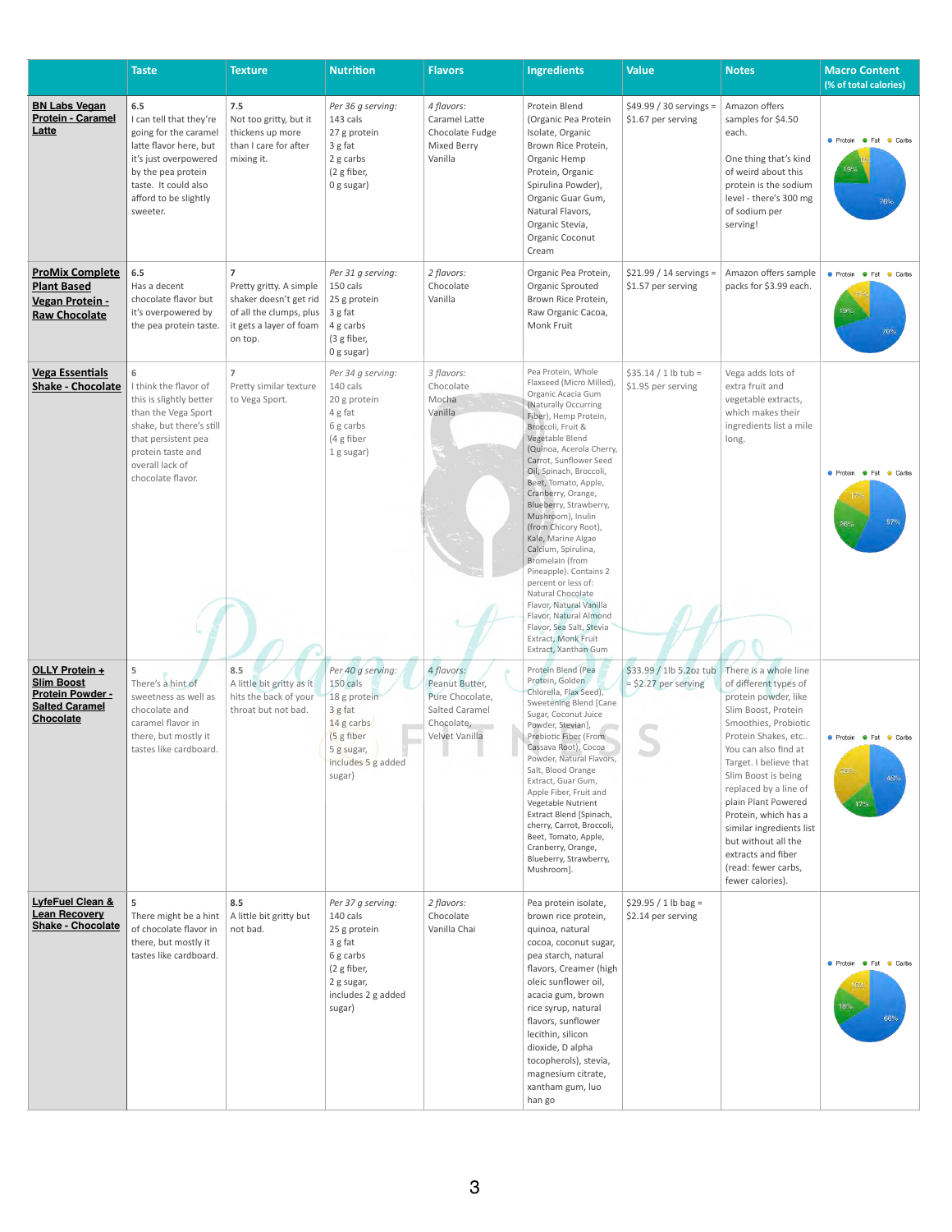|                                                                                                                    | <b>Taste</b>                                                                                                                                                                                  | <b>Texture</b>                                                                                                                       | <b>Nutrition</b>                                                                                                                   | <b>Flavors</b>                                                                                    | <b>Ingredients</b>                                                                                                                                                                                                                                                                                                                                                                                                                                                                                                                                                                                                                       | <b>Value</b>                                      | <b>Notes</b>                                                                                                                                                                                                                                                                                                                                                                                                      | <b>Macro Content</b><br>(% of total calories)                          |
|--------------------------------------------------------------------------------------------------------------------|-----------------------------------------------------------------------------------------------------------------------------------------------------------------------------------------------|--------------------------------------------------------------------------------------------------------------------------------------|------------------------------------------------------------------------------------------------------------------------------------|---------------------------------------------------------------------------------------------------|------------------------------------------------------------------------------------------------------------------------------------------------------------------------------------------------------------------------------------------------------------------------------------------------------------------------------------------------------------------------------------------------------------------------------------------------------------------------------------------------------------------------------------------------------------------------------------------------------------------------------------------|---------------------------------------------------|-------------------------------------------------------------------------------------------------------------------------------------------------------------------------------------------------------------------------------------------------------------------------------------------------------------------------------------------------------------------------------------------------------------------|------------------------------------------------------------------------|
| <b>BN Labs Vegan</b><br><b>Protein - Caramel</b><br>Latte                                                          | 6.5<br>I can tell that they're<br>going for the caramel<br>latte flavor here, but<br>it's just overpowered<br>by the pea protein<br>taste. It could also<br>afford to be slightly<br>sweeter. | 7.5<br>Not too gritty, but it<br>thickens up more<br>than I care for after<br>mixing it.                                             | Per 36 g serving:<br>143 cals<br>27 g protein<br>3 g fat<br>2 g carbs<br>(2 g fiber,<br>0 g sugar)                                 | 4 flavors:<br>Caramel Latte<br>Chocolate Fudge<br>Mixed Berry<br>Vanilla                          | Protein Blend<br>(Organic Pea Protein<br>Isolate, Organic<br>Brown Rice Protein,<br>Organic Hemp<br>Protein, Organic<br>Spirulina Powder),<br>Organic Guar Gum,<br>Natural Flavors,<br>Organic Stevia,<br>Organic Coconut<br>Cream                                                                                                                                                                                                                                                                                                                                                                                                       | $$49.99 / 30$ servings =<br>\$1.67 per serving    | Amazon offers<br>samples for \$4.50<br>each.<br>One thing that's kind<br>of weird about this<br>protein is the sodium<br>level - there's 300 mg<br>of sodium per<br>serving!                                                                                                                                                                                                                                      | ● Protein ● Fat ● Carbs<br>76%                                         |
| <b>ProMix Complete</b><br><b>Plant Based</b><br>Vegan Protein -<br><b>Raw Chocolate</b>                            | 6.5<br>Has a decent<br>chocolate flavor but<br>it's overpowered by<br>the pea protein taste.                                                                                                  | $\overline{ }$<br>Pretty gritty. A simple<br>shaker doesn't get rid<br>of all the clumps, plus<br>it gets a layer of foam<br>on top. | Per 31 g serving:<br>150 cals<br>25 g protein<br>3 g fat<br>4 g carbs<br>(3 g fiber,<br>0 g sugar)                                 | 2 flavors:<br>Chocolate<br>Vanilla                                                                | Organic Pea Protein,<br>Organic Sprouted<br>Brown Rice Protein,<br>Raw Organic Cacoa,<br>Monk Fruit                                                                                                                                                                                                                                                                                                                                                                                                                                                                                                                                      | $$21.99 / 14$ servings =<br>\$1.57 per serving    | Amazon offers sample<br>packs for \$3.99 each.                                                                                                                                                                                                                                                                                                                                                                    | ● Protein ● Fat ● Carbs                                                |
| <b>Vega Essentials</b><br><b>Shake - Chocolate</b>                                                                 | 6<br>I think the flavor of<br>this is slightly better<br>than the Vega Sport<br>shake, but there's still<br>that persistent pea<br>protein taste and<br>overall lack of<br>chocolate flavor.  | $\overline{7}$<br>Pretty similar texture<br>to Vega Sport.                                                                           | Per 34 g serving:<br>140 cals<br>20 g protein<br>4 g fat<br>6 g carbs<br>(4 g fiber<br>1 g sugar)                                  | 3 flavors:<br>Chocolate<br>Mocha<br>Vanilla                                                       | Pea Protein, Whole<br>Flaxseed (Micro Milled)<br>Organic Acacia Gum<br>(Naturally Occurring<br>Fiber), Hemp Protein,<br>Broccoli, Fruit &<br>Vegetable Blend<br>(Quinoa, Acerola Cherry,<br>Carrot, Sunflower Seed<br>Oil, Spinach, Broccoli,<br>Beet, Tomato, Apple,<br>Cranberry, Orange,<br>Blueberry, Strawberry,<br>Mushroom), Inulin<br>(from Chicory Root),<br>Kale, Marine Algae<br>Calcium, Spirulina,<br>Bromelain (from<br>Pineapple). Contains 2<br>percent or less of:<br>Natural Chocolate<br>Flavor, Natural Vanilla<br>Flavor, Natural Almond<br>Flavor, Sea Salt, Stevia<br>Extract, Monk Fruit<br>Extract, Xanthan Gum | $$35.14 / 1 lb$ tub =<br>\$1.95 per serving       | Vega adds lots of<br>extra fruit and<br>vegetable extracts,<br>which makes their<br>ingredients list a mile<br>long.                                                                                                                                                                                                                                                                                              | <b>Contact Protein Contact Protein</b><br>Carbs<br>57%<br>$26^{\circ}$ |
| <b>OLLY Protein +</b><br><b>Slim Boost</b><br><b>Protein Powder -</b><br><b>Salted Caramel</b><br><b>Chocolate</b> | There's a hint of<br>sweetness as well as<br>chocolate and<br>caramel flavor in<br>there, but mostly it<br>tastes like cardboard.                                                             | 8.5<br>A little bit gritty as it<br>hits the back of your<br>throat but not bad.                                                     | Per 40 g serving:<br>150 cals<br>18 g protein<br>3 g fat<br>14 g carbs<br>(5 g fiber<br>5 g sugar,<br>includes 5 g added<br>sugar) | 4 flavors:<br>Peanut Butter,<br>Pure Chocolate,<br>Salted Caramel<br>Chocolate,<br>Velvet Vanilla | Protein Blend (Pea<br>Protein, Golden<br>Chlorella, Flax Seed),<br>Sweetening Blend [Cane<br>Sugar, Coconut Juice<br>Powder, Stevian],<br>Prebiotic Fiber (From<br>Cassava Root), Cocoa<br>Powder, Natural Flavors,<br>Salt, Blood Orange<br>Extract, Guar Gum,<br>Apple Fiber, Fruit and<br>Vegetable Nutrient<br>Extract Blend [Spinach,<br>cherry, Carrot, Broccoli,<br>Beet, Tomato, Apple,<br>Cranberry, Orange,<br>Blueberry, Strawberry,<br>Mushroom].                                                                                                                                                                            | \$33.99 / 1lb 5.2oz tub<br>$=$ \$2.27 per serving | There is a whole line<br>of different types of<br>protein powder, like<br>Slim Boost, Protein<br>Smoothies, Probiotic<br>Protein Shakes, etc<br>You can also find at<br>Target. I believe that<br>Slim Boost is being<br>replaced by a line of<br>plain Plant Powered<br>Protein, which has a<br>similar ingredients list<br>but without all the<br>extracts and fiber<br>(read: fewer carbs,<br>fewer calories). | ● Protein ● Fat<br>Carbs<br>36%<br>46%<br>17%                          |
| <b>LyfeFuel Clean &amp;</b><br><b>Lean Recovery</b><br><b>Shake - Chocolate</b>                                    | 5<br>There might be a hint<br>of chocolate flavor in<br>there, but mostly it<br>tastes like cardboard.                                                                                        | 8.5<br>A little bit gritty but<br>not bad.                                                                                           | Per 37 g serving:<br>140 cals<br>25 g protein<br>3 g fat<br>6 g carbs<br>(2 g fiber,<br>2 g sugar,<br>includes 2 g added<br>sugar) | 2 flavors:<br>Chocolate<br>Vanilla Chai                                                           | Pea protein isolate,<br>brown rice protein,<br>quinoa, natural<br>cocoa, coconut sugar,<br>pea starch, natural<br>flavors, Creamer (high<br>oleic sunflower oil,<br>acacia gum, brown<br>rice syrup, natural<br>flavors, sunflower<br>lecithin, silicon<br>dioxide, D alpha<br>tocopherols), stevia,<br>magnesium citrate,<br>xantham gum, luo<br>han go                                                                                                                                                                                                                                                                                 | $$29.95 / 1 lb$ bag =<br>\$2.14 per serving       |                                                                                                                                                                                                                                                                                                                                                                                                                   | ● Protein ● Fat ● Carbs<br>18%<br>66%                                  |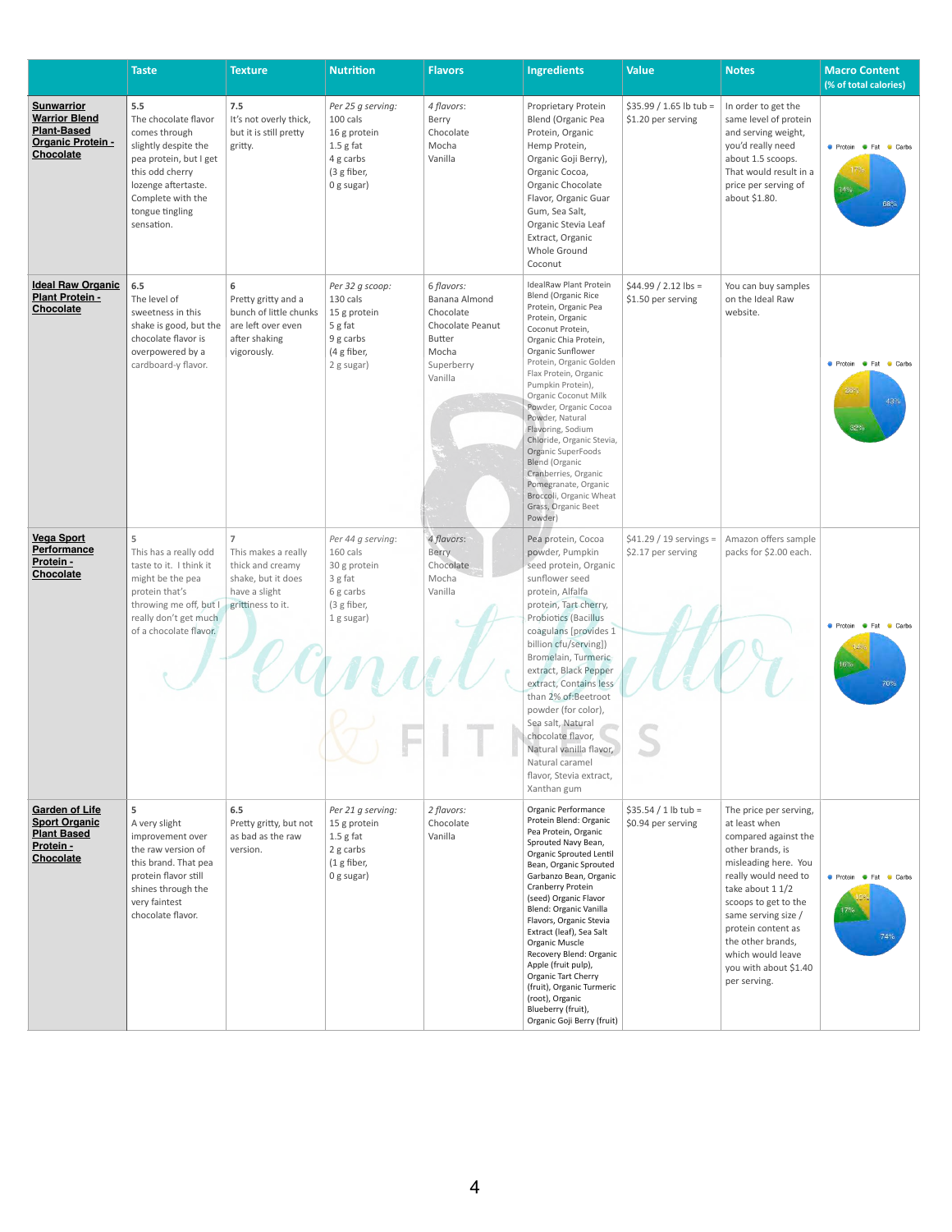|                                                                                                                 | <b>Taste</b>                                                                                                                                                                                   | <b>Texture</b>                                                                                                        | <b>Nutrition</b>                                                                                      | <b>Flavors</b>                                                                                                  | <b>Ingredients</b>                                                                                                                                                                                                                                                                                                                                                                                                                                                                                                                   | <b>Value</b>                                   | <b>Notes</b>                                                                                                                                                                                                                                                                                                    | <b>Macro Content</b><br>(% of total calories)  |
|-----------------------------------------------------------------------------------------------------------------|------------------------------------------------------------------------------------------------------------------------------------------------------------------------------------------------|-----------------------------------------------------------------------------------------------------------------------|-------------------------------------------------------------------------------------------------------|-----------------------------------------------------------------------------------------------------------------|--------------------------------------------------------------------------------------------------------------------------------------------------------------------------------------------------------------------------------------------------------------------------------------------------------------------------------------------------------------------------------------------------------------------------------------------------------------------------------------------------------------------------------------|------------------------------------------------|-----------------------------------------------------------------------------------------------------------------------------------------------------------------------------------------------------------------------------------------------------------------------------------------------------------------|------------------------------------------------|
| <b>Sunwarrior</b><br><b>Warrior Blend</b><br><b>Plant-Based</b><br><b>Organic Protein -</b><br><b>Chocolate</b> | 5.5<br>The chocolate flavor<br>comes through<br>slightly despite the<br>pea protein, but I get<br>this odd cherry<br>lozenge aftertaste.<br>Complete with the<br>tongue tingling<br>sensation. | 7.5<br>It's not overly thick,<br>but it is still pretty<br>gritty.                                                    | Per 25 g serving:<br>100 cals<br>16 g protein<br>$1.5g$ fat<br>4 g carbs<br>(3 g fiber,<br>0 g sugar) | 4 flavors:<br>Berry<br>Chocolate<br>Mocha<br>Vanilla                                                            | Proprietary Protein<br>Blend (Organic Pea<br>Protein, Organic<br>Hemp Protein,<br>Organic Goji Berry),<br>Organic Cocoa,<br>Organic Chocolate<br>Flavor, Organic Guar<br>Gum, Sea Salt,<br>Organic Stevia Leaf<br>Extract, Organic<br>Whole Ground<br>Coconut                                                                                                                                                                                                                                                                        | $$35.99 / 1.65$ lb tub =<br>\$1.20 per serving | In order to get the<br>same level of protein<br>and serving weight,<br>you'd really need<br>about 1.5 scoops.<br>That would result in a<br>price per serving of<br>about \$1.80.                                                                                                                                | ● Protein ● Fat ● Carbs<br>14%<br>68%          |
| <b>Ideal Raw Organic</b><br><b>Plant Protein -</b><br>Chocolate                                                 | 6.5<br>The level of<br>sweetness in this<br>shake is good, but the<br>chocolate flavor is<br>overpowered by a<br>cardboard-y flavor.                                                           | 6<br>Pretty gritty and a<br>bunch of little chunks<br>are left over even<br>after shaking<br>vigorously.              | Per 32 g scoop:<br>130 cals<br>15 g protein<br>5 g fat<br>9 g carbs<br>(4 g fiber,<br>2 g sugar)      | 6 flavors:<br>Banana Almond<br>Chocolate<br>Chocolate Peanut<br><b>Butter</b><br>Mocha<br>Superberry<br>Vanilla | <b>IdealRaw Plant Protein</b><br><b>Blend (Organic Rice</b><br>Protein, Organic Pea<br>Protein, Organic<br>Coconut Protein,<br>Organic Chia Protein,<br>Organic Sunflower<br>Protein, Organic Golden<br>Flax Protein, Organic<br>Pumpkin Protein),<br>Organic Coconut Milk<br>Powder, Organic Cocoa<br>Powder, Natural<br>Flavoring, Sodium<br>Chloride, Organic Stevia,<br>Organic SuperFoods<br><b>Blend (Organic</b><br>Cranberries, Organic<br>Pomegranate, Organic<br>Broccoli, Organic Wheat<br>Grass, Organic Beet<br>Powder) | $$44.99 / 2.12$ lbs =<br>\$1.50 per serving    | You can buy samples<br>on the Ideal Raw<br>website.                                                                                                                                                                                                                                                             | ● Protein ● Fat ● Carbs<br>26%<br>43%<br>32%   |
| <b>Vega Sport</b><br>Performance<br>Protein -<br><b>Chocolate</b>                                               | 5<br>This has a really odd<br>taste to it. I think it<br>might be the pea<br>protein that's<br>throwing me off, but I<br>really don't get much<br>of a chocolate flavor.                       | $\overline{7}$<br>This makes a really<br>thick and creamy<br>shake, but it does<br>have a slight<br>grittiness to it. | Per 44 g serving:<br>160 cals<br>30 g protein<br>3 g fat<br>6 g carbs<br>(3 g fiber,<br>1 g sugar)    | 4 flavors:<br><b>Berry</b><br>Chocolate<br>Mocha<br>Vanilla                                                     | Pea protein, Cocoa<br>powder, Pumpkin<br>seed protein, Organic<br>sunflower seed<br>protein, Alfalfa<br>protein, Tart cherry,<br>Probiotics (Bacillus<br>coagulans [provides 1<br>billion cfu/serving])<br>Bromelain, Turmeric<br>extract, Black Pepper<br>extract, Contains less<br>than 2% of:Beetroot<br>powder (for color),<br>Sea salt, Natural<br>chocolate flavor,<br>Natural vanilla flavor,<br>Natural caramel<br>flavor, Stevia extract,<br>Xanthan gum                                                                    | $$41.29 / 19$ servings =<br>\$2.17 per serving | Amazon offers sample<br>packs for \$2.00 each.                                                                                                                                                                                                                                                                  | <b>Contact Protein Contact</b><br>Carbs<br>16% |
| <b>Garden of Life</b><br><b>Sport Organic</b><br><b>Plant Based</b><br>Protein -<br><b>Chocolate</b>            | 5<br>A very slight<br>improvement over<br>the raw version of<br>this brand. That pea<br>protein flavor still<br>shines through the<br>very faintest<br>chocolate flavor.                       | 6.5<br>Pretty gritty, but not<br>as bad as the raw<br>version.                                                        | Per 21 g serving:<br>15 g protein<br>$1.5g$ fat<br>2 g carbs<br>(1 g fiber,<br>0 g sugar)             | 2 flavors:<br>Chocolate<br>Vanilla                                                                              | Organic Performance<br>Protein Blend: Organic<br>Pea Protein, Organic<br>Sprouted Navy Bean,<br>Organic Sprouted Lentil<br>Bean, Organic Sprouted<br>Garbanzo Bean, Organic<br>Cranberry Protein<br>(seed) Organic Flavor<br>Blend: Organic Vanilla<br>Flavors, Organic Stevia<br>Extract (leaf), Sea Salt<br>Organic Muscle<br>Recovery Blend: Organic<br>Apple (fruit pulp),<br>Organic Tart Cherry<br>(fruit), Organic Turmeric<br>(root), Organic<br>Blueberry (fruit),<br>Organic Goji Berry (fruit)                            | $$35.54 / 1 lb$ tub =<br>\$0.94 per serving    | The price per serving,<br>at least when<br>compared against the<br>other brands, is<br>misleading here. You<br>really would need to<br>take about 1 1/2<br>scoops to get to the<br>same serving size /<br>protein content as<br>the other brands,<br>which would leave<br>you with about \$1.40<br>per serving. | ● Protein ● Fat ● Carbs<br>74%                 |